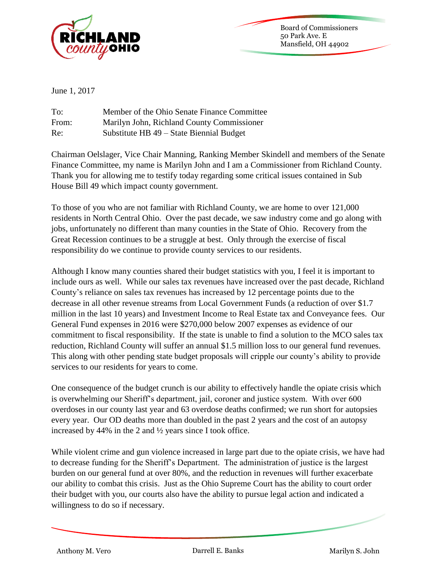

Board of Commissioners 50 Park Ave. E Mansfield, OH 44902

June 1, 2017

| To:   | Member of the Ohio Senate Finance Committee |
|-------|---------------------------------------------|
| From: | Marilyn John, Richland County Commissioner  |
| Re:   | Substitute HB 49 – State Biennial Budget    |

Chairman Oelslager, Vice Chair Manning, Ranking Member Skindell and members of the Senate Finance Committee, my name is Marilyn John and I am a Commissioner from Richland County. Thank you for allowing me to testify today regarding some critical issues contained in Sub House Bill 49 which impact county government.

To those of you who are not familiar with Richland County, we are home to over 121,000 residents in North Central Ohio. Over the past decade, we saw industry come and go along with jobs, unfortunately no different than many counties in the State of Ohio. Recovery from the Great Recession continues to be a struggle at best. Only through the exercise of fiscal responsibility do we continue to provide county services to our residents.

Although I know many counties shared their budget statistics with you, I feel it is important to include ours as well. While our sales tax revenues have increased over the past decade, Richland County's reliance on sales tax revenues has increased by 12 percentage points due to the decrease in all other revenue streams from Local Government Funds (a reduction of over \$1.7 million in the last 10 years) and Investment Income to Real Estate tax and Conveyance fees. Our General Fund expenses in 2016 were \$270,000 below 2007 expenses as evidence of our commitment to fiscal responsibility. If the state is unable to find a solution to the MCO sales tax reduction, Richland County will suffer an annual \$1.5 million loss to our general fund revenues. This along with other pending state budget proposals will cripple our county's ability to provide services to our residents for years to come.

One consequence of the budget crunch is our ability to effectively handle the opiate crisis which is overwhelming our Sheriff's department, jail, coroner and justice system. With over 600 overdoses in our county last year and 63 overdose deaths confirmed; we run short for autopsies every year. Our OD deaths more than doubled in the past 2 years and the cost of an autopsy increased by 44% in the 2 and ½ years since I took office.

While violent crime and gun violence increased in large part due to the opiate crisis, we have had to decrease funding for the Sheriff's Department. The administration of justice is the largest burden on our general fund at over 80%, and the reduction in revenues will further exacerbate our ability to combat this crisis. Just as the Ohio Supreme Court has the ability to court order their budget with you, our courts also have the ability to pursue legal action and indicated a willingness to do so if necessary.